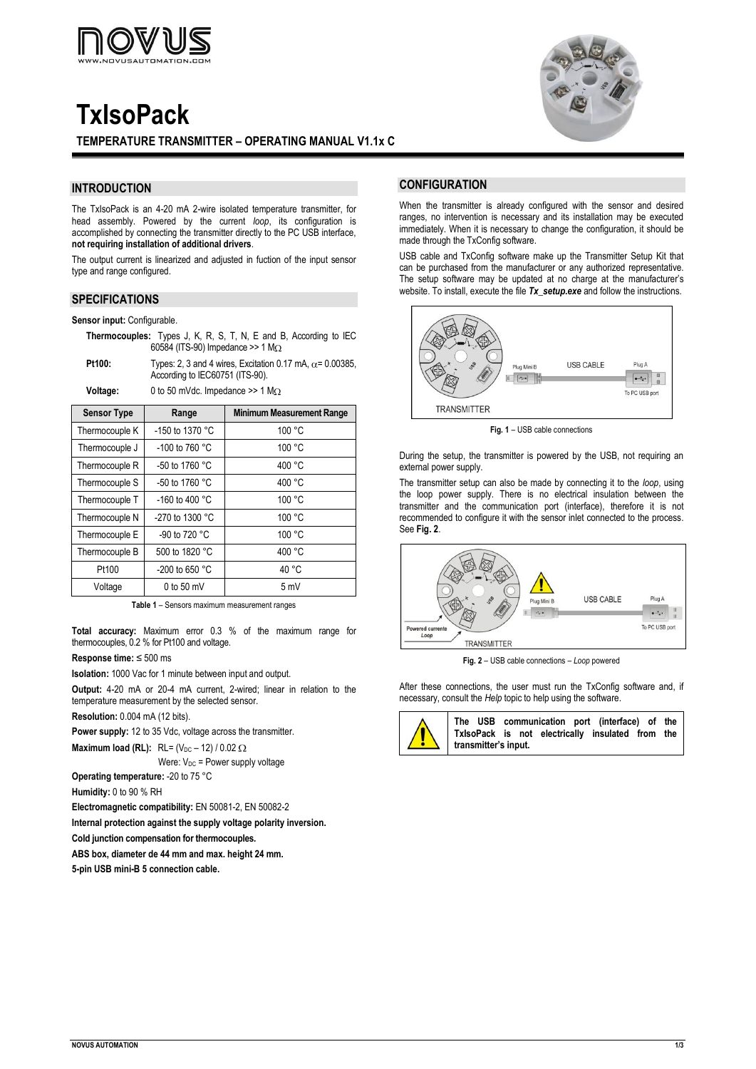

# **TxIsoPack**



# **INTRODUCTION**

The TxIsoPack is an 4-20 mA 2-wire isolated temperature transmitter, for head assembly. Powered by the current *loop*, its configuration is accomplished by connecting the transmitter directly to the PC USB interface, **not requiring installation of additional drivers**.

The output current is linearized and adjusted in fuction of the input sensor type and range configured.

## **SPECIFICATIONS**

**Sensor input:** Configurable.

**Thermocouples:** Types J, K, R, S, T, N, E and B, According to IEC 60584 (ITS-90) Impedance >> 1 M

**Pt100:** Types: 2, 3 and 4 wires, Excitation 0.17 mA,  $\alpha$  = 0.00385, According to IEC60751 (ITS-90).

Voltage: 0 to 50 mVdc. Impedance >> 1 M $\Omega$ 

| <b>Sensor Type</b> | Range                    | <b>Minimum Measurement Range</b> |
|--------------------|--------------------------|----------------------------------|
| Thermocouple K     | -150 to 1370 °C          | 100 °C                           |
| Thermocouple J     | -100 to 760 $^{\circ}$ C | 100 °C                           |
| Thermocouple R     | -50 to 1760 °C           | 400 °C                           |
| Thermocouple S     | -50 to 1760 $^{\circ}$ C | 400 °C                           |
| Thermocouple T     | -160 to 400 $^{\circ}$ C | 100 °C                           |
| Thermocouple N     | -270 to 1300 °C          | 100 °C                           |
| Thermocouple E     | -90 to 720 °C            | 100 °C                           |
| Thermocouple B     | 500 to 1820 °C           | 400 °C                           |
| Pt100              | -200 to 650 $^{\circ}$ C | 40 °C                            |
| Voltage            | $0$ to 50 mV             | 5 mV                             |

**Table 1** – Sensors maximum measurement ranges

**Total accuracy:** Maximum error 0.3 % of the maximum range for thermocouples, 0.2 % for Pt100 and voltage.

## **Response time:** ≤ 500 ms

**Isolation:** 1000 Vac for 1 minute between input and output.

**Output:** 4-20 mA or 20-4 mA current, 2-wired; linear in relation to the temperature measurement by the selected sensor.

**Resolution:** 0.004 mA (12 bits).

**Power supply:** 12 to 35 Vdc, voltage across the transmitter.

**Maximum load (RL):** RL=  $(V_{DC} - 12) / 0.02 \Omega$ 

Were:  $V_{DC}$  = Power supply voltage

**Operating temperature:** -20 to 75 °C

**Humidity:** 0 to 90 % RH

**Electromagnetic compatibility:** EN 50081-2, EN 50082-2

**Internal protection against the supply voltage polarity inversion.**

**Cold junction compensation for thermocouples.**

**ABS box, diameter de 44 mm and max. height 24 mm.**

**5-pin USB mini-B 5 connection cable.**



## **CONFIGURATION**

When the transmitter is already configured with the sensor and desired ranges, no intervention is necessary and its installation may be executed immediately. When it is necessary to change the configuration, it should be made through the TxConfig software.

USB cable and TxConfig software make up the Transmitter Setup Kit that can be purchased from the manufacturer or any authorized representative. The setup software may be updated at no charge at the manufacturer's website. To install, execute the file *Tx\_setup.exe* and follow the instructions.



**Fig. 1** – USB cable connections

During the setup, the transmitter is powered by the USB, not requiring an external power supply.

The transmitter setup can also be made by connecting it to the *loop*, using the loop power supply. There is no electrical insulation between the transmitter and the communication port (interface), therefore it is not recommended to configure it with the sensor inlet connected to the process. See **Fig. 2**.



**Fig. 2** – USB cable connections – *Loop* powered

After these connections, the user must run the TxConfig software and, if necessary, consult the *Help* topic to help using the software.

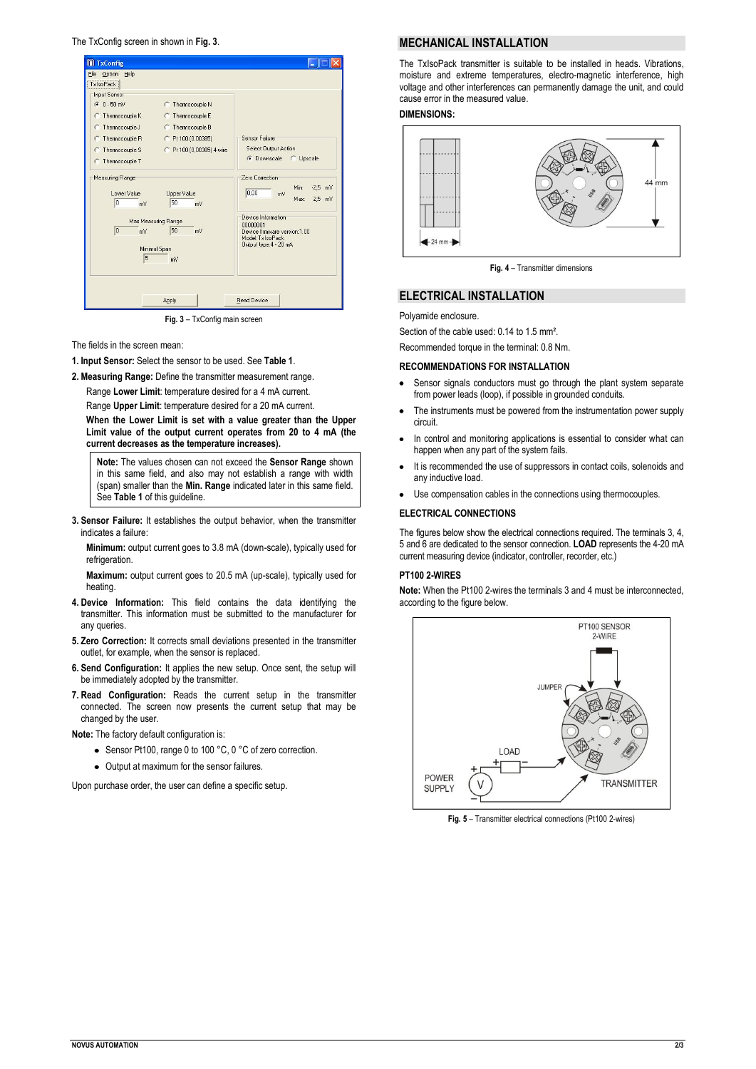The TxConfig screen in shown in **Fig. 3**.



**Fig. 3** – TxConfig main screen

The fields in the screen mean:

- **1. Input Sensor:** Select the sensor to be used. See **Table 1**.
- **2. Measuring Range:** Define the transmitter measurement range.

Range **Lower Limit**: temperature desired for a 4 mA current.

Range **Upper Limit**: temperature desired for a 20 mA current. **When the Lower Limit is set with a value greater than the Upper** 

**Limit value of the output current operates from 20 to 4 mA (the current decreases as the temperature increases).**

**Note:** The values chosen can not exceed the **Sensor Range** shown in this same field, and also may not establish a range with width (span) smaller than the **Min. Range** indicated later in this same field. See **Table 1** of this guideline.

**3. Sensor Failure:** It establishes the output behavior, when the transmitter indicates a failure:

**Minimum:** output current goes to 3.8 mA (down-scale), typically used for refrigeration.

**Maximum:** output current goes to 20.5 mA (up-scale), typically used for heating.

- **4. Device Information:** This field contains the data identifying the transmitter. This information must be submitted to the manufacturer for any queries.
- **5. Zero Correction:** It corrects small deviations presented in the transmitter outlet, for example, when the sensor is replaced.
- **6. Send Configuration:** It applies the new setup. Once sent, the setup will be immediately adopted by the transmitter.
- **7. Read Configuration:** Reads the current setup in the transmitter connected. The screen now presents the current setup that may be changed by the user.

**Note:** The factory default configuration is:

- Sensor Pt100, range 0 to 100 °C, 0 °C of zero correction.
- Output at maximum for the sensor failures.

Upon purchase order, the user can define a specific setup.

## **MECHANICAL INSTALLATION**

The TxIsoPack transmitter is suitable to be installed in heads. Vibrations, moisture and extreme temperatures, electro-magnetic interference, high voltage and other interferences can permanently damage the unit, and could cause error in the measured value.

## **DIMENSIONS:**



**Fig. 4** – Transmitter dimensions

#### **ELECTRICAL INSTALLATION**

Polyamide enclosure.

Section of the cable used: 0.14 to 1.5 mm².

Recommended torque in the terminal: 0.8 Nm.

#### **RECOMMENDATIONS FOR INSTALLATION**

- $\bullet$ Sensor signals conductors must go through the plant system separate from power leads (loop), if possible in grounded conduits.
- The instruments must be powered from the instrumentation power supply circuit.
- In control and monitoring applications is essential to consider what can happen when any part of the system fails.
- It is recommended the use of suppressors in contact coils, solenoids and any inductive load.
- Use compensation cables in the connections using thermocouples.

#### **ELECTRICAL CONNECTIONS**

The figures below show the electrical connections required. The terminals 3, 4, 5 and 6 are dedicated to the sensor connection. **LOAD** represents the 4-20 mA current measuring device (indicator, controller, recorder, etc.)

# **PT100 2-WIRES**

**Note:** When the Pt100 2-wires the terminals 3 and 4 must be interconnected, according to the figure below.



**Fig. 5** – Transmitter electrical connections (Pt100 2-wires)